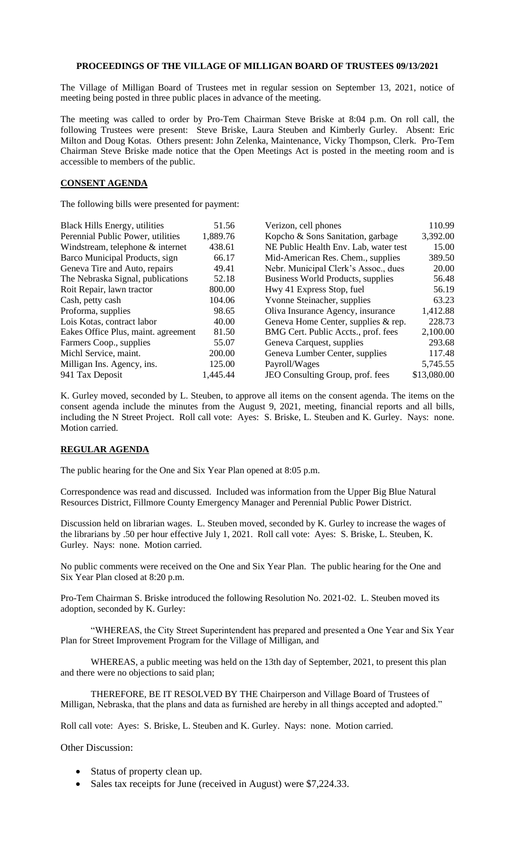## **PROCEEDINGS OF THE VILLAGE OF MILLIGAN BOARD OF TRUSTEES 09/13/2021**

The Village of Milligan Board of Trustees met in regular session on September 13, 2021, notice of meeting being posted in three public places in advance of the meeting.

The meeting was called to order by Pro-Tem Chairman Steve Briske at 8:04 p.m. On roll call, the following Trustees were present: Steve Briske, Laura Steuben and Kimberly Gurley. Absent: Eric Milton and Doug Kotas. Others present: John Zelenka, Maintenance, Vicky Thompson, Clerk. Pro-Tem Chairman Steve Briske made notice that the Open Meetings Act is posted in the meeting room and is accessible to members of the public.

## **CONSENT AGENDA**

The following bills were presented for payment:

| <b>Black Hills Energy, utilities</b> | 51.56    | Verizon, cell phones                  | 110.99      |
|--------------------------------------|----------|---------------------------------------|-------------|
| Perennial Public Power, utilities    | 1,889.76 | Kopcho & Sons Sanitation, garbage     | 3,392.00    |
| Windstream, telephone & internet     | 438.61   | NE Public Health Env. Lab, water test | 15.00       |
| Barco Municipal Products, sign       | 66.17    | Mid-American Res. Chem., supplies     | 389.50      |
| Geneva Tire and Auto, repairs        | 49.41    | Nebr. Municipal Clerk's Assoc., dues  | 20.00       |
| The Nebraska Signal, publications    | 52.18    | Business World Products, supplies     | 56.48       |
| Roit Repair, lawn tractor            | 800.00   | Hwy 41 Express Stop, fuel             | 56.19       |
| Cash, petty cash                     | 104.06   | Yvonne Steinacher, supplies           | 63.23       |
| Proforma, supplies                   | 98.65    | Oliva Insurance Agency, insurance     | 1,412.88    |
| Lois Kotas, contract labor           | 40.00    | Geneva Home Center, supplies & rep.   | 228.73      |
| Eakes Office Plus, maint. agreement  | 81.50    | BMG Cert. Public Accts., prof. fees   | 2,100.00    |
| Farmers Coop., supplies              | 55.07    | Geneva Carquest, supplies             | 293.68      |
| Michl Service, maint.                | 200.00   | Geneva Lumber Center, supplies        | 117.48      |
| Milligan Ins. Agency, ins.           | 125.00   | Payroll/Wages                         | 5,745.55    |
| 941 Tax Deposit                      | 1,445.44 | JEO Consulting Group, prof. fees      | \$13,080.00 |

K. Gurley moved, seconded by L. Steuben, to approve all items on the consent agenda. The items on the consent agenda include the minutes from the August 9, 2021, meeting, financial reports and all bills, including the N Street Project. Roll call vote: Ayes: S. Briske, L. Steuben and K. Gurley. Nays: none. Motion carried.

## **REGULAR AGENDA**

The public hearing for the One and Six Year Plan opened at 8:05 p.m.

Correspondence was read and discussed. Included was information from the Upper Big Blue Natural Resources District, Fillmore County Emergency Manager and Perennial Public Power District.

Discussion held on librarian wages. L. Steuben moved, seconded by K. Gurley to increase the wages of the librarians by .50 per hour effective July 1, 2021. Roll call vote: Ayes: S. Briske, L. Steuben, K. Gurley. Nays: none. Motion carried.

No public comments were received on the One and Six Year Plan. The public hearing for the One and Six Year Plan closed at 8:20 p.m.

Pro-Tem Chairman S. Briske introduced the following Resolution No. 2021-02. L. Steuben moved its adoption, seconded by K. Gurley:

"WHEREAS, the City Street Superintendent has prepared and presented a One Year and Six Year Plan for Street Improvement Program for the Village of Milligan, and

WHEREAS, a public meeting was held on the 13th day of September, 2021, to present this plan and there were no objections to said plan;

THEREFORE, BE IT RESOLVED BY THE Chairperson and Village Board of Trustees of Milligan, Nebraska, that the plans and data as furnished are hereby in all things accepted and adopted."

Roll call vote: Ayes: S. Briske, L. Steuben and K. Gurley. Nays: none. Motion carried.

Other Discussion:

- Status of property clean up.
- Sales tax receipts for June (received in August) were \$7,224.33.